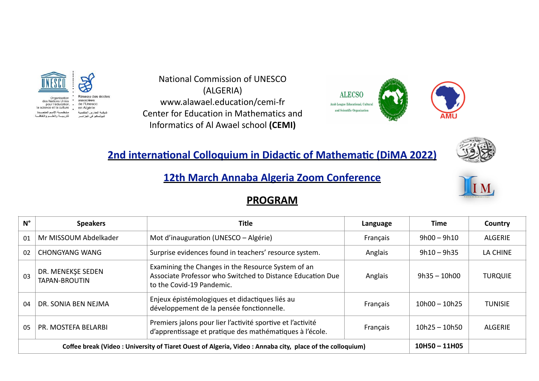

National Commission of UNESCO (ALGERIA) www.alawael.education/cemi-fr Center for Education in Mathematics and Informatics of Al Awael school **(CEMI)**



# **2nd international Colloquium in Didactic of Mathematic (DiMA 2022)**



### **12th March Annaba Algeria Zoom Conference**

#### **PROGRAM**

| $N^{\circ}$                                                                                              | <b>Speakers</b>                           | Title                                                                                                                                         | Language | Time            | Country        |
|----------------------------------------------------------------------------------------------------------|-------------------------------------------|-----------------------------------------------------------------------------------------------------------------------------------------------|----------|-----------------|----------------|
| 01                                                                                                       | Mr MISSOUM Abdelkader                     | Mot d'inauguration (UNESCO – Algérie)                                                                                                         | Français | $9h00 - 9h10$   | <b>ALGERIE</b> |
| 02                                                                                                       | CHONGYANG WANG                            | Surprise evidences found in teachers' resource system.                                                                                        | Anglais  | $9h10 - 9h35$   | LA CHINE       |
| 03                                                                                                       | DR. MENEKSE SEDEN<br><b>TAPAN-BROUTIN</b> | Examining the Changes in the Resource System of an<br>Associate Professor who Switched to Distance Education Due<br>to the Covid-19 Pandemic. | Anglais  | $9h35 - 10h00$  | <b>TURQUIE</b> |
| 04                                                                                                       | DR. SONIA BEN NEJMA                       | Enjeux épistémologiques et didactiques liés au<br>développement de la pensée fonctionnelle.                                                   | Français | $10h00 - 10h25$ | <b>TUNISIE</b> |
| 0 <sub>5</sub>                                                                                           | PR. MOSTEFA BELARBI                       | Premiers jalons pour lier l'activité sportive et l'activité<br>d'apprentissage et pratique des mathématiques à l'école.                       | Français | $10h25 - 10h50$ | <b>ALGERIE</b> |
| Coffee break (Video: University of Tiaret Ouest of Algeria, Video: Annaba city, place of the colloquium) |                                           |                                                                                                                                               |          |                 |                |